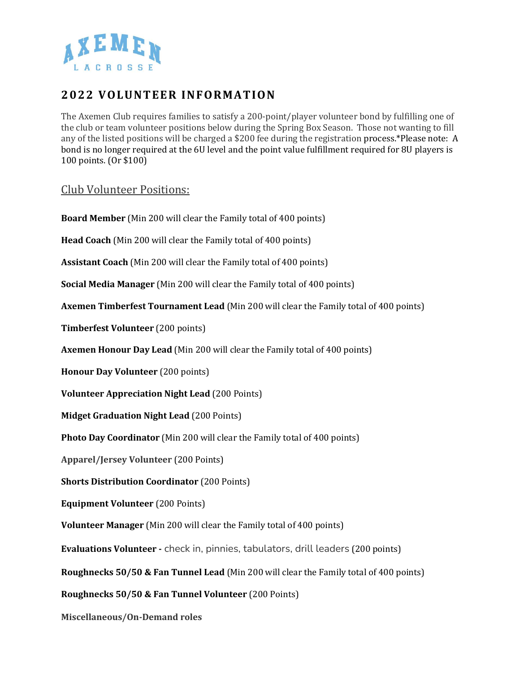

## **2022 VOLUNTEER INFORM ATION**

The Axemen Club requires families to satisfy a 200-point/player volunteer bond by fulfilling one of the club or team volunteer positions below during the Spring Box Season. Those not wanting to fill any of the listed positions will be charged a \$200 fee during the registration process.\*Please note: A bond is no longer required at the 6U level and the point value fulfillment required for 8U players is 100 points. (Or \$100)

## Club Volunteer Positions:

**Board Member** (Min 200 will clear the Family total of 400 points) **Head Coach** (Min 200 will clear the Family total of 400 points) **Assistant Coach** (Min 200 will clear the Family total of 400 points) **Social Media Manager** (Min 200 will clear the Family total of 400 points) **Axemen Timberfest Tournament Lead** (Min 200 will clear the Family total of 400 points) **Timberfest Volunteer** (200 points) **Axemen Honour Day Lead** (Min 200 will clear the Family total of 400 points) **Honour Day Volunteer** (200 points) **Volunteer Appreciation Night Lead** (200 Points) **Midget Graduation Night Lead** (200 Points) **Photo Day Coordinator** (Min 200 will clear the Family total of 400 points) **Apparel/Jersey Volunteer** (200 Points) **Shorts Distribution Coordinator** (200 Points) **Equipment Volunteer** (200 Points) **Volunteer Manager** (Min 200 will clear the Family total of 400 points) **Evaluations Volunteer -** check in, pinnies, tabulators, drill leaders (200 points) **Roughnecks 50/50 & Fan Tunnel Lead** (Min 200 will clear the Family total of 400 points) **Roughnecks 50/50 & Fan Tunnel Volunteer** (200 Points) **Miscellaneous/On-Demand roles**